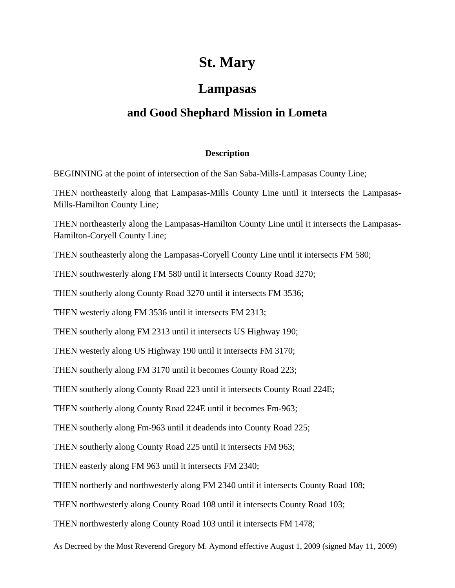## **St. Mary**

## **Lampasas**

## **and Good Shephard Mission in Lometa**

## **Description**

BEGINNING at the point of intersection of the San Saba-Mills-Lampasas County Line;

THEN northeasterly along that Lampasas-Mills County Line until it intersects the Lampasas-Mills-Hamilton County Line;

THEN northeasterly along the Lampasas-Hamilton County Line until it intersects the Lampasas-Hamilton-Coryell County Line;

THEN southeasterly along the Lampasas-Coryell County Line until it intersects FM 580;

THEN southwesterly along FM 580 until it intersects County Road 3270;

THEN southerly along County Road 3270 until it intersects FM 3536;

THEN westerly along FM 3536 until it intersects FM 2313;

THEN southerly along FM 2313 until it intersects US Highway 190;

THEN westerly along US Highway 190 until it intersects FM 3170;

THEN southerly along FM 3170 until it becomes County Road 223;

THEN southerly along County Road 223 until it intersects County Road 224E;

THEN southerly along County Road 224E until it becomes Fm-963;

THEN southerly along Fm-963 until it deadends into County Road 225;

THEN southerly along County Road 225 until it intersects FM 963;

THEN easterly along FM 963 until it intersects FM 2340;

THEN northerly and northwesterly along FM 2340 until it intersects County Road 108;

THEN northwesterly along County Road 108 until it intersects County Road 103;

THEN northwesterly along County Road 103 until it intersects FM 1478;

As Decreed by the Most Reverend Gregory M. Aymond effective August 1, 2009 (signed May 11, 2009)